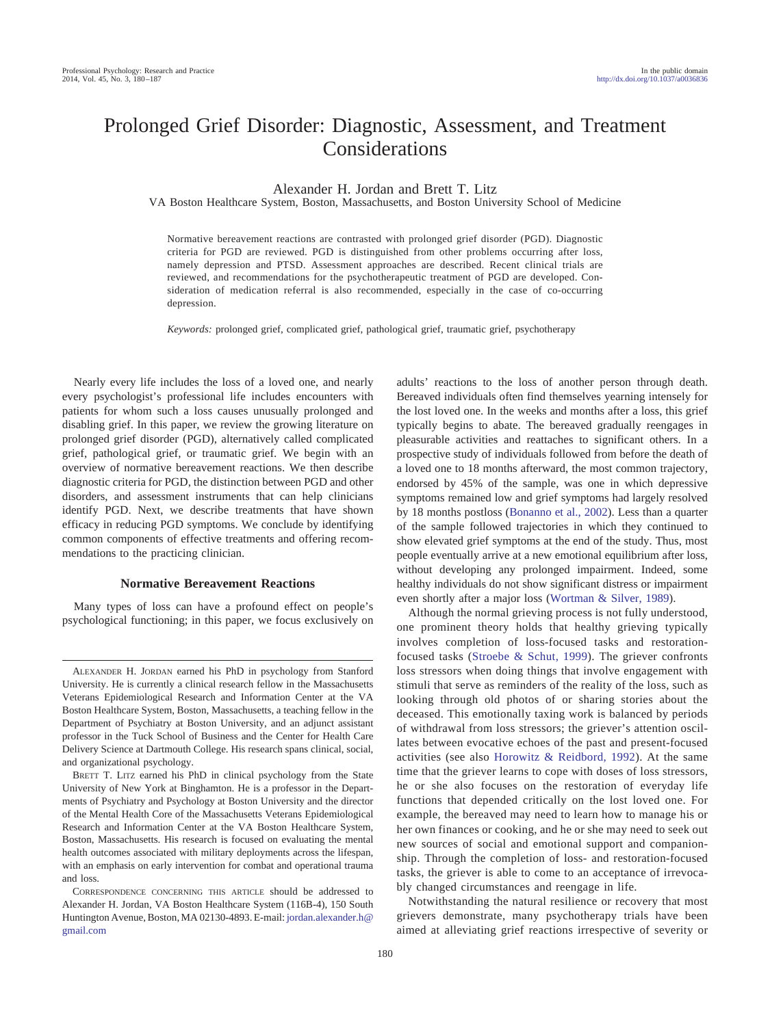# Prolonged Grief Disorder: Diagnostic, Assessment, and Treatment Considerations

Alexander H. Jordan and Brett T. Litz

VA Boston Healthcare System, Boston, Massachusetts, and Boston University School of Medicine

Normative bereavement reactions are contrasted with prolonged grief disorder (PGD). Diagnostic criteria for PGD are reviewed. PGD is distinguished from other problems occurring after loss, namely depression and PTSD. Assessment approaches are described. Recent clinical trials are reviewed, and recommendations for the psychotherapeutic treatment of PGD are developed. Consideration of medication referral is also recommended, especially in the case of co-occurring depression.

*Keywords:* prolonged grief, complicated grief, pathological grief, traumatic grief, psychotherapy

Nearly every life includes the loss of a loved one, and nearly every psychologist's professional life includes encounters with patients for whom such a loss causes unusually prolonged and disabling grief. In this paper, we review the growing literature on prolonged grief disorder (PGD), alternatively called complicated grief, pathological grief, or traumatic grief. We begin with an overview of normative bereavement reactions. We then describe diagnostic criteria for PGD, the distinction between PGD and other disorders, and assessment instruments that can help clinicians identify PGD. Next, we describe treatments that have shown efficacy in reducing PGD symptoms. We conclude by identifying common components of effective treatments and offering recommendations to the practicing clinician.

# **Normative Bereavement Reactions**

Many types of loss can have a profound effect on people's psychological functioning; in this paper, we focus exclusively on

BRETT T. LITZ earned his PhD in clinical psychology from the State University of New York at Binghamton. He is a professor in the Departments of Psychiatry and Psychology at Boston University and the director of the Mental Health Core of the Massachusetts Veterans Epidemiological Research and Information Center at the VA Boston Healthcare System, Boston, Massachusetts. His research is focused on evaluating the mental health outcomes associated with military deployments across the lifespan, with an emphasis on early intervention for combat and operational trauma and loss.

CORRESPONDENCE CONCERNING THIS ARTICLE should be addressed to Alexander H. Jordan, VA Boston Healthcare System (116B-4), 150 South Huntington Avenue, Boston, MA 02130-4893. E-mail: [jordan.alexander.h@](mailto:jordan.alexander.h@gmail.com) [gmail.com](mailto:jordan.alexander.h@gmail.com)

adults' reactions to the loss of another person through death. Bereaved individuals often find themselves yearning intensely for the lost loved one. In the weeks and months after a loss, this grief typically begins to abate. The bereaved gradually reengages in pleasurable activities and reattaches to significant others. In a prospective study of individuals followed from before the death of a loved one to 18 months afterward, the most common trajectory, endorsed by 45% of the sample, was one in which depressive symptoms remained low and grief symptoms had largely resolved by 18 months postloss [\(Bonanno et al., 2002\)](#page-6-0). Less than a quarter of the sample followed trajectories in which they continued to show elevated grief symptoms at the end of the study. Thus, most people eventually arrive at a new emotional equilibrium after loss, without developing any prolonged impairment. Indeed, some healthy individuals do not show significant distress or impairment even shortly after a major loss [\(Wortman & Silver, 1989\)](#page-7-0).

Although the normal grieving process is not fully understood, one prominent theory holds that healthy grieving typically involves completion of loss-focused tasks and restorationfocused tasks [\(Stroebe & Schut, 1999\)](#page-7-1). The griever confronts loss stressors when doing things that involve engagement with stimuli that serve as reminders of the reality of the loss, such as looking through old photos of or sharing stories about the deceased. This emotionally taxing work is balanced by periods of withdrawal from loss stressors; the griever's attention oscillates between evocative echoes of the past and present-focused activities (see also [Horowitz & Reidbord, 1992\)](#page-6-1). At the same time that the griever learns to cope with doses of loss stressors, he or she also focuses on the restoration of everyday life functions that depended critically on the lost loved one. For example, the bereaved may need to learn how to manage his or her own finances or cooking, and he or she may need to seek out new sources of social and emotional support and companionship. Through the completion of loss- and restoration-focused tasks, the griever is able to come to an acceptance of irrevocably changed circumstances and reengage in life.

Notwithstanding the natural resilience or recovery that most grievers demonstrate, many psychotherapy trials have been aimed at alleviating grief reactions irrespective of severity or

ALEXANDER H. JORDAN earned his PhD in psychology from Stanford University. He is currently a clinical research fellow in the Massachusetts Veterans Epidemiological Research and Information Center at the VA Boston Healthcare System, Boston, Massachusetts, a teaching fellow in the Department of Psychiatry at Boston University, and an adjunct assistant professor in the Tuck School of Business and the Center for Health Care Delivery Science at Dartmouth College. His research spans clinical, social, and organizational psychology.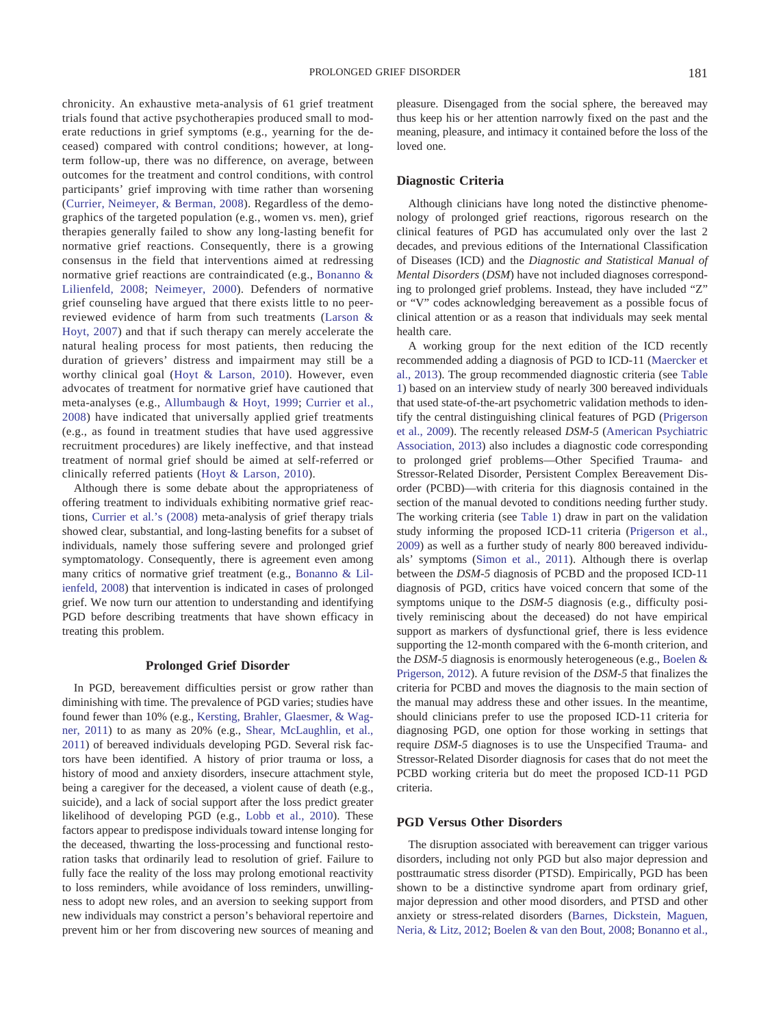chronicity. An exhaustive meta-analysis of 61 grief treatment trials found that active psychotherapies produced small to moderate reductions in grief symptoms (e.g., yearning for the deceased) compared with control conditions; however, at longterm follow-up, there was no difference, on average, between outcomes for the treatment and control conditions, with control participants' grief improving with time rather than worsening [\(Currier, Neimeyer, & Berman, 2008\)](#page-6-2). Regardless of the demographics of the targeted population (e.g., women vs. men), grief therapies generally failed to show any long-lasting benefit for normative grief reactions. Consequently, there is a growing consensus in the field that interventions aimed at redressing normative grief reactions are contraindicated (e.g., [Bonanno &](#page-6-3) [Lilienfeld, 2008;](#page-6-3) [Neimeyer, 2000\)](#page-7-2). Defenders of normative grief counseling have argued that there exists little to no peerreviewed evidence of harm from such treatments [\(Larson &](#page-6-4) [Hoyt, 2007\)](#page-6-4) and that if such therapy can merely accelerate the natural healing process for most patients, then reducing the duration of grievers' distress and impairment may still be a worthy clinical goal [\(Hoyt & Larson, 2010\)](#page-6-5). However, even advocates of treatment for normative grief have cautioned that meta-analyses (e.g., [Allumbaugh & Hoyt, 1999;](#page-6-6) [Currier et al.,](#page-6-2) [2008\)](#page-6-2) have indicated that universally applied grief treatments (e.g., as found in treatment studies that have used aggressive recruitment procedures) are likely ineffective, and that instead treatment of normal grief should be aimed at self-referred or clinically referred patients [\(Hoyt & Larson, 2010\)](#page-6-5).

Although there is some debate about the appropriateness of offering treatment to individuals exhibiting normative grief reactions, [Currier et al.'s \(2008\)](#page-6-2) meta-analysis of grief therapy trials showed clear, substantial, and long-lasting benefits for a subset of individuals, namely those suffering severe and prolonged grief symptomatology. Consequently, there is agreement even among many critics of normative grief treatment (e.g., [Bonanno & Lil](#page-6-3)[ienfeld, 2008\)](#page-6-3) that intervention is indicated in cases of prolonged grief. We now turn our attention to understanding and identifying PGD before describing treatments that have shown efficacy in treating this problem.

# **Prolonged Grief Disorder**

In PGD, bereavement difficulties persist or grow rather than diminishing with time. The prevalence of PGD varies; studies have found fewer than 10% (e.g., [Kersting, Brahler, Glaesmer, & Wag](#page-6-7)[ner, 2011\)](#page-6-7) to as many as 20% (e.g., [Shear, McLaughlin, et al.,](#page-7-3) [2011\)](#page-7-3) of bereaved individuals developing PGD. Several risk factors have been identified. A history of prior trauma or loss, a history of mood and anxiety disorders, insecure attachment style, being a caregiver for the deceased, a violent cause of death (e.g., suicide), and a lack of social support after the loss predict greater likelihood of developing PGD (e.g., [Lobb et al., 2010\)](#page-7-4). These factors appear to predispose individuals toward intense longing for the deceased, thwarting the loss-processing and functional restoration tasks that ordinarily lead to resolution of grief. Failure to fully face the reality of the loss may prolong emotional reactivity to loss reminders, while avoidance of loss reminders, unwillingness to adopt new roles, and an aversion to seeking support from new individuals may constrict a person's behavioral repertoire and prevent him or her from discovering new sources of meaning and pleasure. Disengaged from the social sphere, the bereaved may thus keep his or her attention narrowly fixed on the past and the meaning, pleasure, and intimacy it contained before the loss of the loved one.

# **Diagnostic Criteria**

Although clinicians have long noted the distinctive phenomenology of prolonged grief reactions, rigorous research on the clinical features of PGD has accumulated only over the last 2 decades, and previous editions of the International Classification of Diseases (ICD) and the *Diagnostic and Statistical Manual of Mental Disorders* (*DSM*) have not included diagnoses corresponding to prolonged grief problems. Instead, they have included "Z" or "V" codes acknowledging bereavement as a possible focus of clinical attention or as a reason that individuals may seek mental health care.

A working group for the next edition of the ICD recently recommended adding a diagnosis of PGD to ICD-11 [\(Maercker et](#page-7-5) [al., 2013\)](#page-7-5). The group recommended diagnostic criteria (see [Table](#page-2-0) [1\)](#page-2-0) based on an interview study of nearly 300 bereaved individuals that used state-of-the-art psychometric validation methods to identify the central distinguishing clinical features of PGD [\(Prigerson](#page-7-6) [et al., 2009\)](#page-7-6). The recently released *DSM-5* [\(American Psychiatric](#page-6-8) [Association, 2013\)](#page-6-8) also includes a diagnostic code corresponding to prolonged grief problems—Other Specified Trauma- and Stressor-Related Disorder, Persistent Complex Bereavement Disorder (PCBD)—with criteria for this diagnosis contained in the section of the manual devoted to conditions needing further study. The working criteria (see [Table 1\)](#page-2-0) draw in part on the validation study informing the proposed ICD-11 criteria [\(Prigerson et al.,](#page-7-6) [2009\)](#page-7-6) as well as a further study of nearly 800 bereaved individuals' symptoms [\(Simon et al., 2011\)](#page-7-7). Although there is overlap between the *DSM-5* diagnosis of PCBD and the proposed ICD-11 diagnosis of PGD, critics have voiced concern that some of the symptoms unique to the *DSM-5* diagnosis (e.g., difficulty positively reminiscing about the deceased) do not have empirical support as markers of dysfunctional grief, there is less evidence supporting the 12-month compared with the 6-month criterion, and the *DSM-5* diagnosis is enormously heterogeneous (e.g., [Boelen &](#page-6-9) [Prigerson, 2012\)](#page-6-9). A future revision of the *DSM-5* that finalizes the criteria for PCBD and moves the diagnosis to the main section of the manual may address these and other issues. In the meantime, should clinicians prefer to use the proposed ICD-11 criteria for diagnosing PGD, one option for those working in settings that require *DSM-5* diagnoses is to use the Unspecified Trauma- and Stressor-Related Disorder diagnosis for cases that do not meet the PCBD working criteria but do meet the proposed ICD-11 PGD criteria.

# **PGD Versus Other Disorders**

The disruption associated with bereavement can trigger various disorders, including not only PGD but also major depression and posttraumatic stress disorder (PTSD). Empirically, PGD has been shown to be a distinctive syndrome apart from ordinary grief, major depression and other mood disorders, and PTSD and other anxiety or stress-related disorders [\(Barnes, Dickstein, Maguen,](#page-6-10) [Neria, & Litz, 2012;](#page-6-10) [Boelen & van den Bout, 2008;](#page-6-11) [Bonanno et al.,](#page-6-12)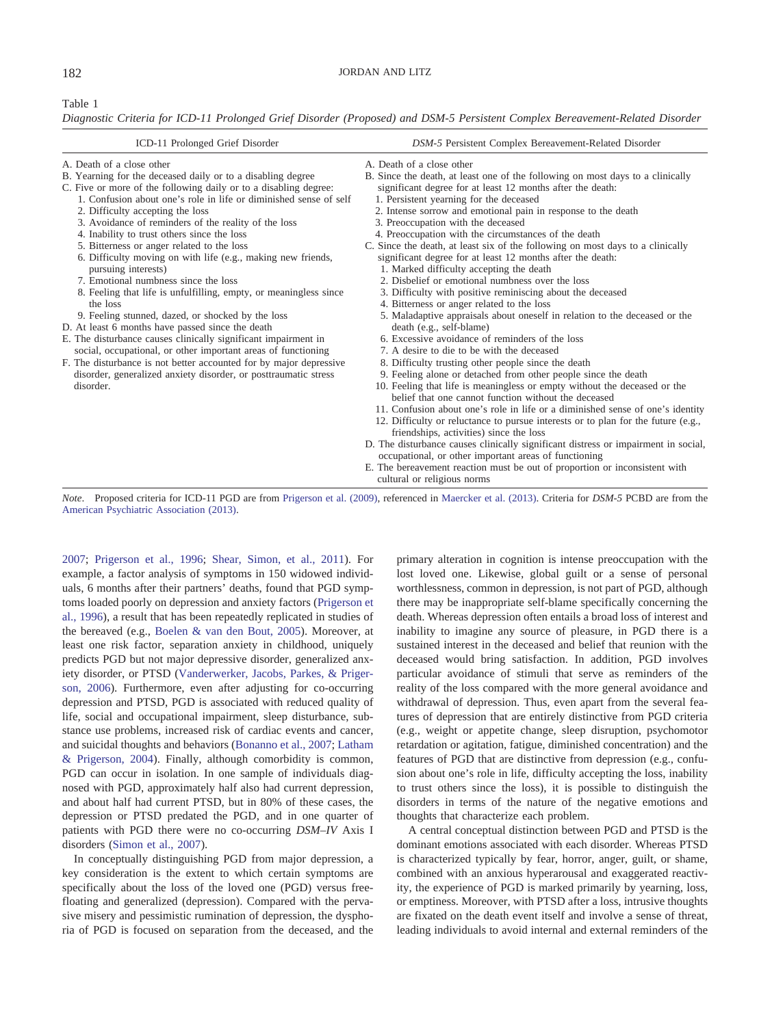### 182 JORDAN AND LITZ

<span id="page-2-0"></span>Table 1

*Diagnostic Criteria for ICD-11 Prolonged Grief Disorder (Proposed) and DSM-5 Persistent Complex Bereavement-Related Disorder*

| ICD-11 Prolonged Grief Disorder                                                                                                                                                                                                                                                                                                                                                                                                                                                                                                                                                                                                                                                                                                                                                                                                                                                                                                                                                                                                              | DSM-5 Persistent Complex Bereavement-Related Disorder                                                                                                                                                                                                                                                                                                                                                                                                                                                                                                                                                                                                                                                                                                                                                                                                                                                                                                                                                                                                                                                                                                                                                                                                                                                                                                                                                                                                                                                                                                                                                                                                                                                  |
|----------------------------------------------------------------------------------------------------------------------------------------------------------------------------------------------------------------------------------------------------------------------------------------------------------------------------------------------------------------------------------------------------------------------------------------------------------------------------------------------------------------------------------------------------------------------------------------------------------------------------------------------------------------------------------------------------------------------------------------------------------------------------------------------------------------------------------------------------------------------------------------------------------------------------------------------------------------------------------------------------------------------------------------------|--------------------------------------------------------------------------------------------------------------------------------------------------------------------------------------------------------------------------------------------------------------------------------------------------------------------------------------------------------------------------------------------------------------------------------------------------------------------------------------------------------------------------------------------------------------------------------------------------------------------------------------------------------------------------------------------------------------------------------------------------------------------------------------------------------------------------------------------------------------------------------------------------------------------------------------------------------------------------------------------------------------------------------------------------------------------------------------------------------------------------------------------------------------------------------------------------------------------------------------------------------------------------------------------------------------------------------------------------------------------------------------------------------------------------------------------------------------------------------------------------------------------------------------------------------------------------------------------------------------------------------------------------------------------------------------------------------|
| A. Death of a close other<br>B. Yearning for the deceased daily or to a disabling degree<br>C. Five or more of the following daily or to a disabling degree:<br>1. Confusion about one's role in life or diminished sense of self<br>2. Difficulty accepting the loss<br>3. Avoidance of reminders of the reality of the loss<br>4. Inability to trust others since the loss<br>5. Bitterness or anger related to the loss<br>6. Difficulty moving on with life (e.g., making new friends,<br>pursuing interests)<br>7. Emotional numbness since the loss<br>8. Feeling that life is unfulfilling, empty, or meaningless since<br>the loss<br>9. Feeling stunned, dazed, or shocked by the loss<br>D. At least 6 months have passed since the death<br>E. The disturbance causes clinically significant impairment in<br>social, occupational, or other important areas of functioning<br>F. The disturbance is not better accounted for by major depressive<br>disorder, generalized anxiety disorder, or posttraumatic stress<br>disorder. | A. Death of a close other<br>B. Since the death, at least one of the following on most days to a clinically<br>significant degree for at least 12 months after the death:<br>1. Persistent yearning for the deceased<br>2. Intense sorrow and emotional pain in response to the death<br>3. Preoccupation with the deceased<br>4. Preoccupation with the circumstances of the death<br>C. Since the death, at least six of the following on most days to a clinically<br>significant degree for at least 12 months after the death:<br>1. Marked difficulty accepting the death<br>2. Disbelief or emotional numbness over the loss<br>3. Difficulty with positive reminiscing about the deceased<br>4. Bitterness or anger related to the loss<br>5. Maladaptive appraisals about oneself in relation to the deceased or the<br>death (e.g., self-blame)<br>6. Excessive avoidance of reminders of the loss<br>7. A desire to die to be with the deceased<br>8. Difficulty trusting other people since the death<br>9. Feeling alone or detached from other people since the death<br>10. Feeling that life is meaningless or empty without the deceased or the<br>belief that one cannot function without the deceased<br>11. Confusion about one's role in life or a diminished sense of one's identity<br>12. Difficulty or reluctance to pursue interests or to plan for the future (e.g.,<br>friendships, activities) since the loss<br>D. The disturbance causes clinically significant distress or impairment in social,<br>occupational, or other important areas of functioning<br>E. The bereavement reaction must be out of proportion or inconsistent with<br>cultural or religious norms |

*Note*. Proposed criteria for ICD-11 PGD are from [Prigerson et al. \(2009\),](#page-7-6) referenced in [Maercker et al. \(2013\).](#page-7-5) Criteria for *DSM-5* PCBD are from the [American Psychiatric Association \(2013\).](#page-6-8)

[2007;](#page-6-12) [Prigerson et al., 1996;](#page-7-8) [Shear, Simon, et al., 2011\)](#page-7-9). For example, a factor analysis of symptoms in 150 widowed individuals, 6 months after their partners' deaths, found that PGD symptoms loaded poorly on depression and anxiety factors [\(Prigerson et](#page-7-8) [al., 1996\)](#page-7-8), a result that has been repeatedly replicated in studies of the bereaved (e.g., [Boelen & van den Bout, 2005\)](#page-6-13). Moreover, at least one risk factor, separation anxiety in childhood, uniquely predicts PGD but not major depressive disorder, generalized anxiety disorder, or PTSD [\(Vanderwerker, Jacobs, Parkes, & Priger](#page-7-10)[son, 2006\)](#page-7-10). Furthermore, even after adjusting for co-occurring depression and PTSD, PGD is associated with reduced quality of life, social and occupational impairment, sleep disturbance, substance use problems, increased risk of cardiac events and cancer, and suicidal thoughts and behaviors [\(Bonanno et al., 2007;](#page-6-12) [Latham](#page-6-14) [& Prigerson, 2004\)](#page-6-14). Finally, although comorbidity is common, PGD can occur in isolation. In one sample of individuals diagnosed with PGD, approximately half also had current depression, and about half had current PTSD, but in 80% of these cases, the depression or PTSD predated the PGD, and in one quarter of patients with PGD there were no co-occurring *DSM–IV* Axis I disorders [\(Simon et al., 2007\)](#page-7-11).

In conceptually distinguishing PGD from major depression, a key consideration is the extent to which certain symptoms are specifically about the loss of the loved one (PGD) versus freefloating and generalized (depression). Compared with the pervasive misery and pessimistic rumination of depression, the dysphoria of PGD is focused on separation from the deceased, and the

primary alteration in cognition is intense preoccupation with the lost loved one. Likewise, global guilt or a sense of personal worthlessness, common in depression, is not part of PGD, although there may be inappropriate self-blame specifically concerning the death. Whereas depression often entails a broad loss of interest and inability to imagine any source of pleasure, in PGD there is a sustained interest in the deceased and belief that reunion with the deceased would bring satisfaction. In addition, PGD involves particular avoidance of stimuli that serve as reminders of the reality of the loss compared with the more general avoidance and withdrawal of depression. Thus, even apart from the several features of depression that are entirely distinctive from PGD criteria (e.g., weight or appetite change, sleep disruption, psychomotor retardation or agitation, fatigue, diminished concentration) and the features of PGD that are distinctive from depression (e.g., confusion about one's role in life, difficulty accepting the loss, inability to trust others since the loss), it is possible to distinguish the disorders in terms of the nature of the negative emotions and thoughts that characterize each problem.

A central conceptual distinction between PGD and PTSD is the dominant emotions associated with each disorder. Whereas PTSD is characterized typically by fear, horror, anger, guilt, or shame, combined with an anxious hyperarousal and exaggerated reactivity, the experience of PGD is marked primarily by yearning, loss, or emptiness. Moreover, with PTSD after a loss, intrusive thoughts are fixated on the death event itself and involve a sense of threat, leading individuals to avoid internal and external reminders of the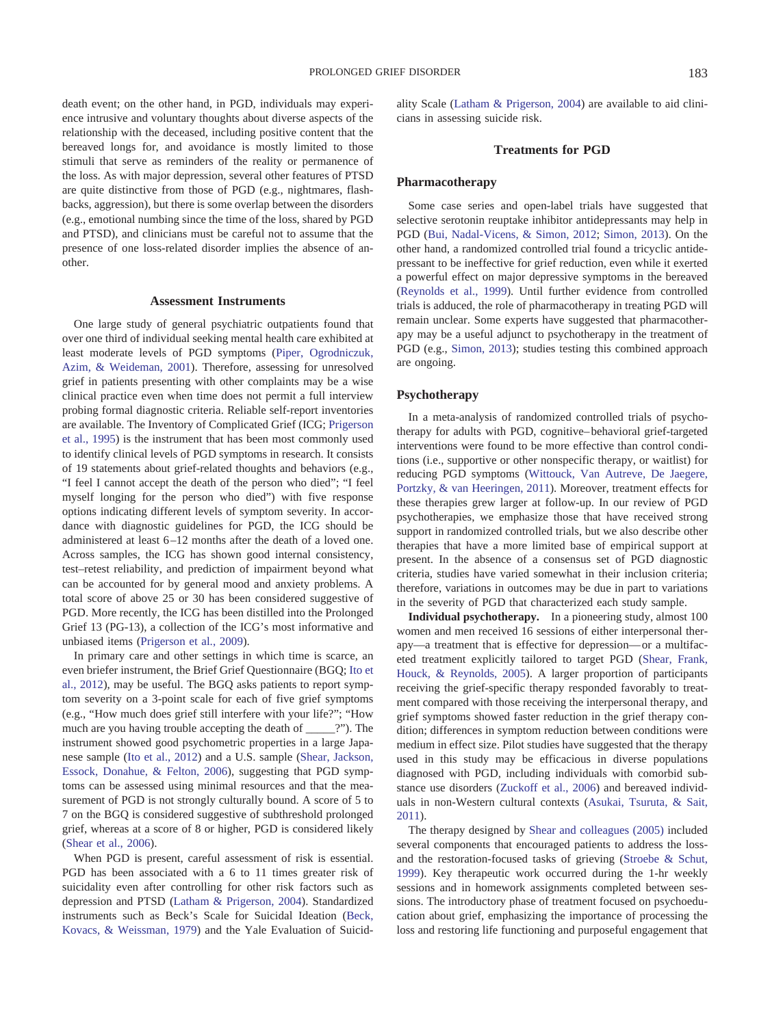death event; on the other hand, in PGD, individuals may experience intrusive and voluntary thoughts about diverse aspects of the relationship with the deceased, including positive content that the bereaved longs for, and avoidance is mostly limited to those stimuli that serve as reminders of the reality or permanence of the loss. As with major depression, several other features of PTSD are quite distinctive from those of PGD (e.g., nightmares, flashbacks, aggression), but there is some overlap between the disorders (e.g., emotional numbing since the time of the loss, shared by PGD and PTSD), and clinicians must be careful not to assume that the presence of one loss-related disorder implies the absence of another.

# **Assessment Instruments**

One large study of general psychiatric outpatients found that over one third of individual seeking mental health care exhibited at least moderate levels of PGD symptoms [\(Piper, Ogrodniczuk,](#page-7-12) [Azim, & Weideman, 2001\)](#page-7-12). Therefore, assessing for unresolved grief in patients presenting with other complaints may be a wise clinical practice even when time does not permit a full interview probing formal diagnostic criteria. Reliable self-report inventories are available. The Inventory of Complicated Grief (ICG; [Prigerson](#page-7-13) [et al., 1995\)](#page-7-13) is the instrument that has been most commonly used to identify clinical levels of PGD symptoms in research. It consists of 19 statements about grief-related thoughts and behaviors (e.g., "I feel I cannot accept the death of the person who died"; "I feel myself longing for the person who died") with five response options indicating different levels of symptom severity. In accordance with diagnostic guidelines for PGD, the ICG should be administered at least 6 –12 months after the death of a loved one. Across samples, the ICG has shown good internal consistency, test–retest reliability, and prediction of impairment beyond what can be accounted for by general mood and anxiety problems. A total score of above 25 or 30 has been considered suggestive of PGD. More recently, the ICG has been distilled into the Prolonged Grief 13 (PG-13), a collection of the ICG's most informative and unbiased items [\(Prigerson et al., 2009\)](#page-7-6).

In primary care and other settings in which time is scarce, an even briefer instrument, the Brief Grief Questionnaire (BGQ; [Ito et](#page-6-15) [al., 2012\)](#page-6-15), may be useful. The BGQ asks patients to report symptom severity on a 3-point scale for each of five grief symptoms (e.g., "How much does grief still interfere with your life?"; "How much are you having trouble accepting the death of \_\_\_\_\_?"). The instrument showed good psychometric properties in a large Japanese sample [\(Ito et al., 2012\)](#page-6-15) and a U.S. sample [\(Shear, Jackson,](#page-7-14) [Essock, Donahue, & Felton, 2006\)](#page-7-14), suggesting that PGD symptoms can be assessed using minimal resources and that the measurement of PGD is not strongly culturally bound. A score of 5 to 7 on the BGQ is considered suggestive of subthreshold prolonged grief, whereas at a score of 8 or higher, PGD is considered likely [\(Shear et al., 2006\)](#page-7-14).

When PGD is present, careful assessment of risk is essential. PGD has been associated with a 6 to 11 times greater risk of suicidality even after controlling for other risk factors such as depression and PTSD [\(Latham & Prigerson, 2004\)](#page-6-14). Standardized instruments such as Beck's Scale for Suicidal Ideation [\(Beck,](#page-6-16) [Kovacs, & Weissman, 1979\)](#page-6-16) and the Yale Evaluation of Suicidality Scale [\(Latham & Prigerson, 2004\)](#page-6-14) are available to aid clinicians in assessing suicide risk.

# **Treatments for PGD**

## **Pharmacotherapy**

Some case series and open-label trials have suggested that selective serotonin reuptake inhibitor antidepressants may help in PGD [\(Bui, Nadal-Vicens, & Simon, 2012;](#page-6-17) [Simon, 2013\)](#page-7-15). On the other hand, a randomized controlled trial found a tricyclic antidepressant to be ineffective for grief reduction, even while it exerted a powerful effect on major depressive symptoms in the bereaved [\(Reynolds et al., 1999\)](#page-7-16). Until further evidence from controlled trials is adduced, the role of pharmacotherapy in treating PGD will remain unclear. Some experts have suggested that pharmacotherapy may be a useful adjunct to psychotherapy in the treatment of PGD (e.g., [Simon, 2013\)](#page-7-15); studies testing this combined approach are ongoing.

## **Psychotherapy**

In a meta-analysis of randomized controlled trials of psychotherapy for adults with PGD, cognitive– behavioral grief-targeted interventions were found to be more effective than control conditions (i.e., supportive or other nonspecific therapy, or waitlist) for reducing PGD symptoms [\(Wittouck, Van Autreve, De Jaegere,](#page-7-17) [Portzky, & van Heeringen, 2011\)](#page-7-17). Moreover, treatment effects for these therapies grew larger at follow-up. In our review of PGD psychotherapies, we emphasize those that have received strong support in randomized controlled trials, but we also describe other therapies that have a more limited base of empirical support at present. In the absence of a consensus set of PGD diagnostic criteria, studies have varied somewhat in their inclusion criteria; therefore, variations in outcomes may be due in part to variations in the severity of PGD that characterized each study sample.

**Individual psychotherapy.** In a pioneering study, almost 100 women and men received 16 sessions of either interpersonal therapy—a treatment that is effective for depression— or a multifaceted treatment explicitly tailored to target PGD [\(Shear, Frank,](#page-7-18) [Houck, & Reynolds, 2005\)](#page-7-18). A larger proportion of participants receiving the grief-specific therapy responded favorably to treatment compared with those receiving the interpersonal therapy, and grief symptoms showed faster reduction in the grief therapy condition; differences in symptom reduction between conditions were medium in effect size. Pilot studies have suggested that the therapy used in this study may be efficacious in diverse populations diagnosed with PGD, including individuals with comorbid substance use disorders [\(Zuckoff et al., 2006\)](#page-7-19) and bereaved individuals in non-Western cultural contexts [\(Asukai, Tsuruta, & Sait,](#page-6-18) [2011\)](#page-6-18).

The therapy designed by [Shear and colleagues \(2005\)](#page-7-18) included several components that encouraged patients to address the lossand the restoration-focused tasks of grieving [\(Stroebe & Schut,](#page-7-1) [1999\)](#page-7-1). Key therapeutic work occurred during the 1-hr weekly sessions and in homework assignments completed between sessions. The introductory phase of treatment focused on psychoeducation about grief, emphasizing the importance of processing the loss and restoring life functioning and purposeful engagement that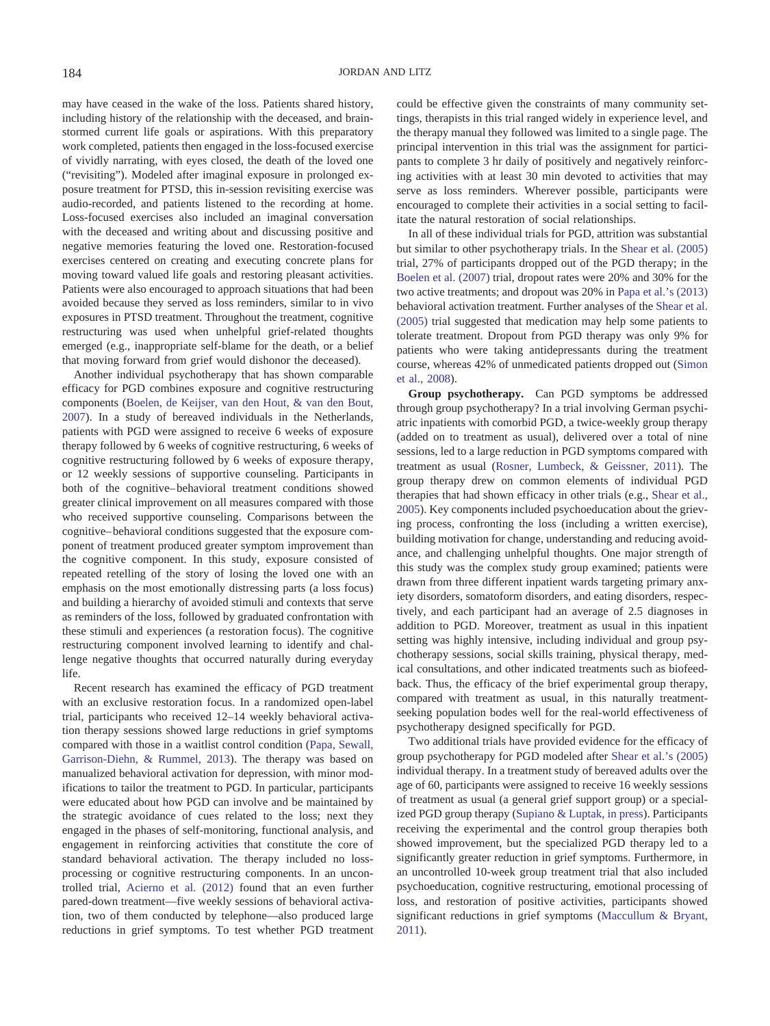may have ceased in the wake of the loss. Patients shared history, including history of the relationship with the deceased, and brainstormed current life goals or aspirations. With this preparatory work completed, patients then engaged in the loss-focused exercise of vividly narrating, with eyes closed, the death of the loved one ("revisiting"). Modeled after imaginal exposure in prolonged exposure treatment for PTSD, this in-session revisiting exercise was audio-recorded, and patients listened to the recording at home. Loss-focused exercises also included an imaginal conversation with the deceased and writing about and discussing positive and negative memories featuring the loved one. Restoration-focused exercises centered on creating and executing concrete plans for moving toward valued life goals and restoring pleasant activities. Patients were also encouraged to approach situations that had been avoided because they served as loss reminders, similar to in vivo exposures in PTSD treatment. Throughout the treatment, cognitive restructuring was used when unhelpful grief-related thoughts emerged (e.g., inappropriate self-blame for the death, or a belief that moving forward from grief would dishonor the deceased).

Another individual psychotherapy that has shown comparable efficacy for PGD combines exposure and cognitive restructuring components [\(Boelen, de Keijser, van den Hout, & van den Bout,](#page-6-19) [2007\)](#page-6-19). In a study of bereaved individuals in the Netherlands, patients with PGD were assigned to receive 6 weeks of exposure therapy followed by 6 weeks of cognitive restructuring, 6 weeks of cognitive restructuring followed by 6 weeks of exposure therapy, or 12 weekly sessions of supportive counseling. Participants in both of the cognitive– behavioral treatment conditions showed greater clinical improvement on all measures compared with those who received supportive counseling. Comparisons between the cognitive– behavioral conditions suggested that the exposure component of treatment produced greater symptom improvement than the cognitive component. In this study, exposure consisted of repeated retelling of the story of losing the loved one with an emphasis on the most emotionally distressing parts (a loss focus) and building a hierarchy of avoided stimuli and contexts that serve as reminders of the loss, followed by graduated confrontation with these stimuli and experiences (a restoration focus). The cognitive restructuring component involved learning to identify and challenge negative thoughts that occurred naturally during everyday life.

Recent research has examined the efficacy of PGD treatment with an exclusive restoration focus. In a randomized open-label trial, participants who received 12–14 weekly behavioral activation therapy sessions showed large reductions in grief symptoms compared with those in a waitlist control condition [\(Papa, Sewall,](#page-7-20) [Garrison-Diehn, & Rummel, 2013\)](#page-7-20). The therapy was based on manualized behavioral activation for depression, with minor modifications to tailor the treatment to PGD. In particular, participants were educated about how PGD can involve and be maintained by the strategic avoidance of cues related to the loss; next they engaged in the phases of self-monitoring, functional analysis, and engagement in reinforcing activities that constitute the core of standard behavioral activation. The therapy included no lossprocessing or cognitive restructuring components. In an uncontrolled trial, [Acierno et al. \(2012\)](#page-6-20) found that an even further pared-down treatment—five weekly sessions of behavioral activation, two of them conducted by telephone—also produced large reductions in grief symptoms. To test whether PGD treatment could be effective given the constraints of many community settings, therapists in this trial ranged widely in experience level, and the therapy manual they followed was limited to a single page. The principal intervention in this trial was the assignment for participants to complete 3 hr daily of positively and negatively reinforcing activities with at least 30 min devoted to activities that may serve as loss reminders. Wherever possible, participants were encouraged to complete their activities in a social setting to facilitate the natural restoration of social relationships.

In all of these individual trials for PGD, attrition was substantial but similar to other psychotherapy trials. In the [Shear et al. \(2005\)](#page-7-18) trial, 27% of participants dropped out of the PGD therapy; in the [Boelen et al. \(2007\)](#page-6-19) trial, dropout rates were 20% and 30% for the two active treatments; and dropout was 20% in [Papa et al.'s \(2013\)](#page-7-20) behavioral activation treatment. Further analyses of the [Shear et al.](#page-7-18) [\(2005\)](#page-7-18) trial suggested that medication may help some patients to tolerate treatment. Dropout from PGD therapy was only 9% for patients who were taking antidepressants during the treatment course, whereas 42% of unmedicated patients dropped out [\(Simon](#page-7-21) [et al., 2008\)](#page-7-21).

**Group psychotherapy.** Can PGD symptoms be addressed through group psychotherapy? In a trial involving German psychiatric inpatients with comorbid PGD, a twice-weekly group therapy (added on to treatment as usual), delivered over a total of nine sessions, led to a large reduction in PGD symptoms compared with treatment as usual [\(Rosner, Lumbeck, & Geissner, 2011\)](#page-7-22). The group therapy drew on common elements of individual PGD therapies that had shown efficacy in other trials (e.g., [Shear et al.,](#page-7-18) [2005\)](#page-7-18). Key components included psychoeducation about the grieving process, confronting the loss (including a written exercise), building motivation for change, understanding and reducing avoidance, and challenging unhelpful thoughts. One major strength of this study was the complex study group examined; patients were drawn from three different inpatient wards targeting primary anxiety disorders, somatoform disorders, and eating disorders, respectively, and each participant had an average of 2.5 diagnoses in addition to PGD. Moreover, treatment as usual in this inpatient setting was highly intensive, including individual and group psychotherapy sessions, social skills training, physical therapy, medical consultations, and other indicated treatments such as biofeedback. Thus, the efficacy of the brief experimental group therapy, compared with treatment as usual, in this naturally treatmentseeking population bodes well for the real-world effectiveness of psychotherapy designed specifically for PGD.

Two additional trials have provided evidence for the efficacy of group psychotherapy for PGD modeled after [Shear et al.'s \(2005\)](#page-7-18) individual therapy. In a treatment study of bereaved adults over the age of 60, participants were assigned to receive 16 weekly sessions of treatment as usual (a general grief support group) or a specialized PGD group therapy [\(Supiano & Luptak, in press\)](#page-7-23). Participants receiving the experimental and the control group therapies both showed improvement, but the specialized PGD therapy led to a significantly greater reduction in grief symptoms. Furthermore, in an uncontrolled 10-week group treatment trial that also included psychoeducation, cognitive restructuring, emotional processing of loss, and restoration of positive activities, participants showed significant reductions in grief symptoms [\(Maccullum & Bryant,](#page-7-24) [2011\)](#page-7-24).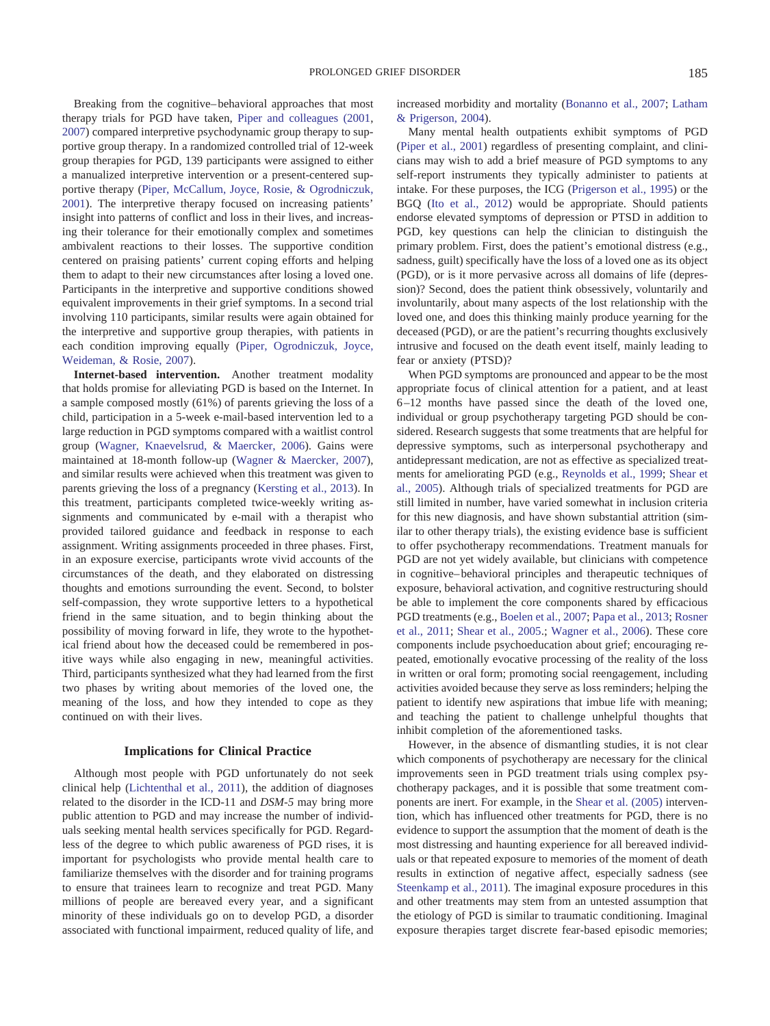Breaking from the cognitive– behavioral approaches that most therapy trials for PGD have taken, [Piper and colleagues \(2001,](#page-7-25) [2007\)](#page-7-26) compared interpretive psychodynamic group therapy to supportive group therapy. In a randomized controlled trial of 12-week group therapies for PGD, 139 participants were assigned to either a manualized interpretive intervention or a present-centered supportive therapy [\(Piper, McCallum, Joyce, Rosie, & Ogrodniczuk,](#page-7-25) [2001\)](#page-7-25). The interpretive therapy focused on increasing patients' insight into patterns of conflict and loss in their lives, and increasing their tolerance for their emotionally complex and sometimes ambivalent reactions to their losses. The supportive condition centered on praising patients' current coping efforts and helping them to adapt to their new circumstances after losing a loved one. Participants in the interpretive and supportive conditions showed equivalent improvements in their grief symptoms. In a second trial involving 110 participants, similar results were again obtained for the interpretive and supportive group therapies, with patients in each condition improving equally [\(Piper, Ogrodniczuk, Joyce,](#page-7-26) [Weideman, & Rosie, 2007\)](#page-7-26).

**Internet-based intervention.** Another treatment modality that holds promise for alleviating PGD is based on the Internet. In a sample composed mostly (61%) of parents grieving the loss of a child, participation in a 5-week e-mail-based intervention led to a large reduction in PGD symptoms compared with a waitlist control group [\(Wagner, Knaevelsrud, & Maercker, 2006\)](#page-7-27). Gains were maintained at 18-month follow-up [\(Wagner & Maercker, 2007\)](#page-7-28), and similar results were achieved when this treatment was given to parents grieving the loss of a pregnancy [\(Kersting et al., 2013\)](#page-6-21). In this treatment, participants completed twice-weekly writing assignments and communicated by e-mail with a therapist who provided tailored guidance and feedback in response to each assignment. Writing assignments proceeded in three phases. First, in an exposure exercise, participants wrote vivid accounts of the circumstances of the death, and they elaborated on distressing thoughts and emotions surrounding the event. Second, to bolster self-compassion, they wrote supportive letters to a hypothetical friend in the same situation, and to begin thinking about the possibility of moving forward in life, they wrote to the hypothetical friend about how the deceased could be remembered in positive ways while also engaging in new, meaningful activities. Third, participants synthesized what they had learned from the first two phases by writing about memories of the loved one, the meaning of the loss, and how they intended to cope as they continued on with their lives.

## **Implications for Clinical Practice**

Although most people with PGD unfortunately do not seek clinical help [\(Lichtenthal et al., 2011\)](#page-6-22), the addition of diagnoses related to the disorder in the ICD-11 and *DSM-5* may bring more public attention to PGD and may increase the number of individuals seeking mental health services specifically for PGD. Regardless of the degree to which public awareness of PGD rises, it is important for psychologists who provide mental health care to familiarize themselves with the disorder and for training programs to ensure that trainees learn to recognize and treat PGD. Many millions of people are bereaved every year, and a significant minority of these individuals go on to develop PGD, a disorder associated with functional impairment, reduced quality of life, and increased morbidity and mortality [\(Bonanno et al., 2007;](#page-6-12) [Latham](#page-6-14) [& Prigerson, 2004\)](#page-6-14).

Many mental health outpatients exhibit symptoms of PGD [\(Piper et al., 2001\)](#page-7-25) regardless of presenting complaint, and clinicians may wish to add a brief measure of PGD symptoms to any self-report instruments they typically administer to patients at intake. For these purposes, the ICG [\(Prigerson et al., 1995\)](#page-7-13) or the BGQ [\(Ito et al., 2012\)](#page-6-15) would be appropriate. Should patients endorse elevated symptoms of depression or PTSD in addition to PGD, key questions can help the clinician to distinguish the primary problem. First, does the patient's emotional distress (e.g., sadness, guilt) specifically have the loss of a loved one as its object (PGD), or is it more pervasive across all domains of life (depression)? Second, does the patient think obsessively, voluntarily and involuntarily, about many aspects of the lost relationship with the loved one, and does this thinking mainly produce yearning for the deceased (PGD), or are the patient's recurring thoughts exclusively intrusive and focused on the death event itself, mainly leading to fear or anxiety (PTSD)?

When PGD symptoms are pronounced and appear to be the most appropriate focus of clinical attention for a patient, and at least 6 –12 months have passed since the death of the loved one, individual or group psychotherapy targeting PGD should be considered. Research suggests that some treatments that are helpful for depressive symptoms, such as interpersonal psychotherapy and antidepressant medication, are not as effective as specialized treatments for ameliorating PGD (e.g., [Reynolds et al., 1999;](#page-7-16) [Shear et](#page-7-18) [al., 2005\)](#page-7-18). Although trials of specialized treatments for PGD are still limited in number, have varied somewhat in inclusion criteria for this new diagnosis, and have shown substantial attrition (similar to other therapy trials), the existing evidence base is sufficient to offer psychotherapy recommendations. Treatment manuals for PGD are not yet widely available, but clinicians with competence in cognitive– behavioral principles and therapeutic techniques of exposure, behavioral activation, and cognitive restructuring should be able to implement the core components shared by efficacious PGD treatments (e.g., [Boelen et al., 2007;](#page-6-19) [Papa et al., 2013;](#page-7-20) [Rosner](#page-7-22) [et al., 2011;](#page-7-22) [Shear et al., 2005.](#page-7-18); [Wagner et al., 2006\)](#page-7-27). These core components include psychoeducation about grief; encouraging repeated, emotionally evocative processing of the reality of the loss in written or oral form; promoting social reengagement, including activities avoided because they serve as loss reminders; helping the patient to identify new aspirations that imbue life with meaning; and teaching the patient to challenge unhelpful thoughts that inhibit completion of the aforementioned tasks.

However, in the absence of dismantling studies, it is not clear which components of psychotherapy are necessary for the clinical improvements seen in PGD treatment trials using complex psychotherapy packages, and it is possible that some treatment components are inert. For example, in the [Shear et al. \(2005\)](#page-7-18) intervention, which has influenced other treatments for PGD, there is no evidence to support the assumption that the moment of death is the most distressing and haunting experience for all bereaved individuals or that repeated exposure to memories of the moment of death results in extinction of negative affect, especially sadness (see [Steenkamp et al., 2011\)](#page-7-29). The imaginal exposure procedures in this and other treatments may stem from an untested assumption that the etiology of PGD is similar to traumatic conditioning. Imaginal exposure therapies target discrete fear-based episodic memories;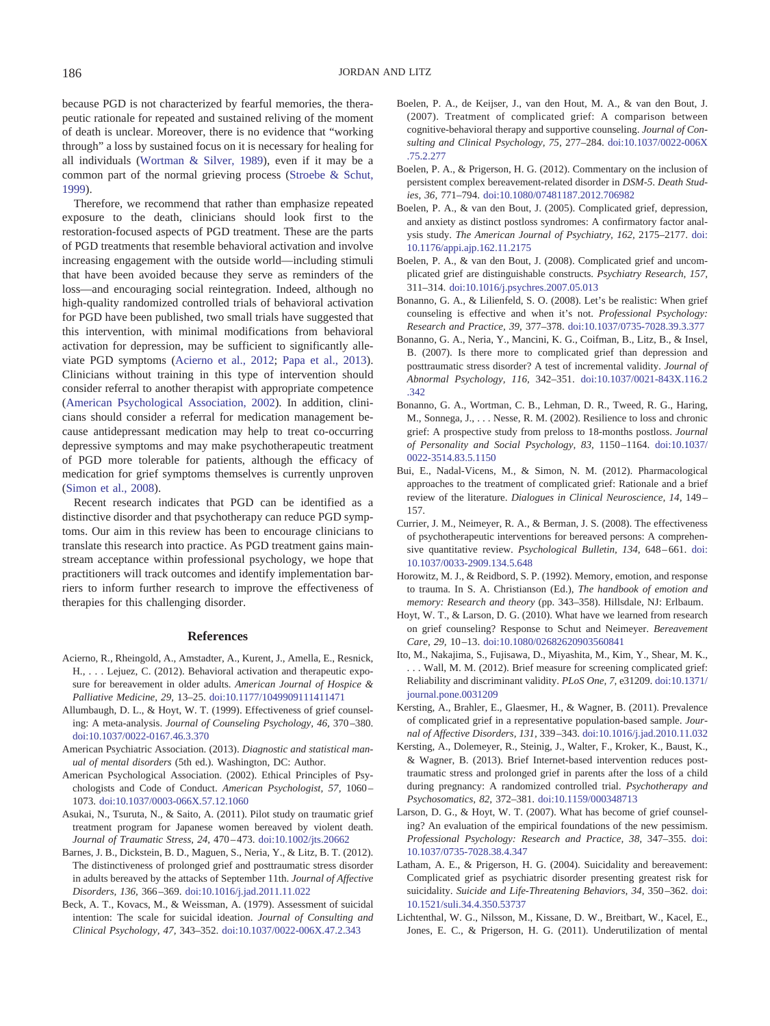because PGD is not characterized by fearful memories, the therapeutic rationale for repeated and sustained reliving of the moment of death is unclear. Moreover, there is no evidence that "working through" a loss by sustained focus on it is necessary for healing for all individuals [\(Wortman & Silver, 1989\)](#page-7-0), even if it may be a common part of the normal grieving process [\(Stroebe & Schut,](#page-7-1) [1999\)](#page-7-1).

Therefore, we recommend that rather than emphasize repeated exposure to the death, clinicians should look first to the restoration-focused aspects of PGD treatment. These are the parts of PGD treatments that resemble behavioral activation and involve increasing engagement with the outside world—including stimuli that have been avoided because they serve as reminders of the loss—and encouraging social reintegration. Indeed, although no high-quality randomized controlled trials of behavioral activation for PGD have been published, two small trials have suggested that this intervention, with minimal modifications from behavioral activation for depression, may be sufficient to significantly alleviate PGD symptoms [\(Acierno et al., 2012;](#page-6-20) [Papa et al., 2013\)](#page-7-20). Clinicians without training in this type of intervention should consider referral to another therapist with appropriate competence [\(American Psychological Association, 2002\)](#page-6-23). In addition, clinicians should consider a referral for medication management because antidepressant medication may help to treat co-occurring depressive symptoms and may make psychotherapeutic treatment of PGD more tolerable for patients, although the efficacy of medication for grief symptoms themselves is currently unproven [\(Simon et al., 2008\)](#page-7-21).

Recent research indicates that PGD can be identified as a distinctive disorder and that psychotherapy can reduce PGD symptoms. Our aim in this review has been to encourage clinicians to translate this research into practice. As PGD treatment gains mainstream acceptance within professional psychology, we hope that practitioners will track outcomes and identify implementation barriers to inform further research to improve the effectiveness of therapies for this challenging disorder.

## **References**

- <span id="page-6-20"></span>Acierno, R., Rheingold, A., Amstadter, A., Kurent, J., Amella, E., Resnick, H., . . . Lejuez, C. (2012). Behavioral activation and therapeutic exposure for bereavement in older adults. *American Journal of Hospice & Palliative Medicine, 29,* 13–25. [doi:10.1177/1049909111411471](http://dx.doi.org/10.1177/1049909111411471)
- <span id="page-6-6"></span>Allumbaugh, D. L., & Hoyt, W. T. (1999). Effectiveness of grief counseling: A meta-analysis. *Journal of Counseling Psychology, 46,* 370 –380. [doi:10.1037/0022-0167.46.3.370](http://dx.doi.org/10.1037/0022-0167.46.3.370)
- <span id="page-6-8"></span>American Psychiatric Association. (2013). *Diagnostic and statistical manual of mental disorders* (5th ed.). Washington, DC: Author.
- <span id="page-6-23"></span>American Psychological Association. (2002). Ethical Principles of Psychologists and Code of Conduct. *American Psychologist, 57,* 1060 – 1073. [doi:10.1037/0003-066X.57.12.1060](http://dx.doi.org/10.1037/0003-066X.57.12.1060)
- <span id="page-6-18"></span>Asukai, N., Tsuruta, N., & Saito, A. (2011). Pilot study on traumatic grief treatment program for Japanese women bereaved by violent death. *Journal of Traumatic Stress, 24,* 470 – 473. [doi:10.1002/jts.20662](http://dx.doi.org/10.1002/jts.20662)
- <span id="page-6-10"></span>Barnes, J. B., Dickstein, B. D., Maguen, S., Neria, Y., & Litz, B. T. (2012). The distinctiveness of prolonged grief and posttraumatic stress disorder in adults bereaved by the attacks of September 11th. *Journal of Affective Disorders, 136,* 366 –369. [doi:10.1016/j.jad.2011.11.022](http://dx.doi.org/10.1016/j.jad.2011.11.022)
- <span id="page-6-16"></span>Beck, A. T., Kovacs, M., & Weissman, A. (1979). Assessment of suicidal intention: The scale for suicidal ideation. *Journal of Consulting and Clinical Psychology, 47,* 343–352. [doi:10.1037/0022-006X.47.2.343](http://dx.doi.org/10.1037/0022-006X.47.2.343)
- <span id="page-6-19"></span>Boelen, P. A., de Keijser, J., van den Hout, M. A., & van den Bout, J. (2007). Treatment of complicated grief: A comparison between cognitive-behavioral therapy and supportive counseling. *Journal of Consulting and Clinical Psychology, 75,* 277–284. [doi:10.1037/0022-006X](http://dx.doi.org/10.1037/0022-006X.75.2.277) [.75.2.277](http://dx.doi.org/10.1037/0022-006X.75.2.277)
- <span id="page-6-9"></span>Boelen, P. A., & Prigerson, H. G. (2012). Commentary on the inclusion of persistent complex bereavement-related disorder in *DSM-5*. *Death Studies, 36,* 771–794. [doi:10.1080/07481187.2012.706982](http://dx.doi.org/10.1080/07481187.2012.706982)
- <span id="page-6-13"></span>Boelen, P. A., & van den Bout, J. (2005). Complicated grief, depression, and anxiety as distinct postloss syndromes: A confirmatory factor analysis study. *The American Journal of Psychiatry, 162,* 2175–2177. [doi:](http://dx.doi.org/10.1176/appi.ajp.162.11.2175) [10.1176/appi.ajp.162.11.2175](http://dx.doi.org/10.1176/appi.ajp.162.11.2175)
- <span id="page-6-11"></span>Boelen, P. A., & van den Bout, J. (2008). Complicated grief and uncomplicated grief are distinguishable constructs. *Psychiatry Research, 157,* 311–314. [doi:10.1016/j.psychres.2007.05.013](http://dx.doi.org/10.1016/j.psychres.2007.05.013)
- <span id="page-6-3"></span>Bonanno, G. A., & Lilienfeld, S. O. (2008). Let's be realistic: When grief counseling is effective and when it's not. *Professional Psychology: Research and Practice, 39,* 377–378. [doi:10.1037/0735-7028.39.3.377](http://dx.doi.org/10.1037/0735-7028.39.3.377)
- <span id="page-6-12"></span>Bonanno, G. A., Neria, Y., Mancini, K. G., Coifman, B., Litz, B., & Insel, B. (2007). Is there more to complicated grief than depression and posttraumatic stress disorder? A test of incremental validity. *Journal of Abnormal Psychology, 116,* 342–351. [doi:10.1037/0021-843X.116.2](http://dx.doi.org/10.1037/0021-843X.116.2.342) [.342](http://dx.doi.org/10.1037/0021-843X.116.2.342)
- <span id="page-6-0"></span>Bonanno, G. A., Wortman, C. B., Lehman, D. R., Tweed, R. G., Haring, M., Sonnega, J.,... Nesse, R. M. (2002). Resilience to loss and chronic grief: A prospective study from preloss to 18-months postloss. *Journal of Personality and Social Psychology, 83,* 1150 –1164. [doi:10.1037/](http://dx.doi.org/10.1037/0022-3514.83.5.1150) [0022-3514.83.5.1150](http://dx.doi.org/10.1037/0022-3514.83.5.1150)
- <span id="page-6-17"></span>Bui, E., Nadal-Vicens, M., & Simon, N. M. (2012). Pharmacological approaches to the treatment of complicated grief: Rationale and a brief review of the literature. *Dialogues in Clinical Neuroscience, 14,* 149 – 157.
- <span id="page-6-2"></span>Currier, J. M., Neimeyer, R. A., & Berman, J. S. (2008). The effectiveness of psychotherapeutic interventions for bereaved persons: A comprehensive quantitative review. *Psychological Bulletin*, 134, 648-661. [doi:](http://dx.doi.org/10.1037/0033-2909.134.5.648) [10.1037/0033-2909.134.5.648](http://dx.doi.org/10.1037/0033-2909.134.5.648)
- <span id="page-6-1"></span>Horowitz, M. J., & Reidbord, S. P. (1992). Memory, emotion, and response to trauma. In S. A. Christianson (Ed.), *The handbook of emotion and memory: Research and theory* (pp. 343–358). Hillsdale, NJ: Erlbaum.
- <span id="page-6-5"></span>Hoyt, W. T., & Larson, D. G. (2010). What have we learned from research on grief counseling? Response to Schut and Neimeyer. *Bereavement Care, 29,* 10 –13. [doi:10.1080/02682620903560841](http://dx.doi.org/10.1080/02682620903560841)
- <span id="page-6-15"></span>Ito, M., Nakajima, S., Fujisawa, D., Miyashita, M., Kim, Y., Shear, M. K., . . . Wall, M. M. (2012). Brief measure for screening complicated grief: Reliability and discriminant validity. *PLoS One, 7,* e31209. [doi:10.1371/](http://dx.doi.org/10.1371/journal.pone.0031209) [journal.pone.0031209](http://dx.doi.org/10.1371/journal.pone.0031209)
- <span id="page-6-7"></span>Kersting, A., Brahler, E., Glaesmer, H., & Wagner, B. (2011). Prevalence of complicated grief in a representative population-based sample. *Journal of Affective Disorders, 131,* 339 –343. [doi:10.1016/j.jad.2010.11.032](http://dx.doi.org/10.1016/j.jad.2010.11.032)
- <span id="page-6-21"></span>Kersting, A., Dolemeyer, R., Steinig, J., Walter, F., Kroker, K., Baust, K., & Wagner, B. (2013). Brief Internet-based intervention reduces posttraumatic stress and prolonged grief in parents after the loss of a child during pregnancy: A randomized controlled trial. *Psychotherapy and Psychosomatics, 82,* 372–381. [doi:10.1159/000348713](http://dx.doi.org/10.1159/000348713)
- <span id="page-6-4"></span>Larson, D. G., & Hoyt, W. T. (2007). What has become of grief counseling? An evaluation of the empirical foundations of the new pessimism. *Professional Psychology: Research and Practice, 38,* 347–355. [doi:](http://dx.doi.org/10.1037/0735-7028.38.4.347) [10.1037/0735-7028.38.4.347](http://dx.doi.org/10.1037/0735-7028.38.4.347)
- <span id="page-6-14"></span>Latham, A. E., & Prigerson, H. G. (2004). Suicidality and bereavement: Complicated grief as psychiatric disorder presenting greatest risk for suicidality. Suicide and Life-Threatening Behaviors, 34, 350-362. [doi:](http://dx.doi.org/10.1521/suli.34.4.350.53737) [10.1521/suli.34.4.350.53737](http://dx.doi.org/10.1521/suli.34.4.350.53737)
- <span id="page-6-22"></span>Lichtenthal, W. G., Nilsson, M., Kissane, D. W., Breitbart, W., Kacel, E., Jones, E. C., & Prigerson, H. G. (2011). Underutilization of mental